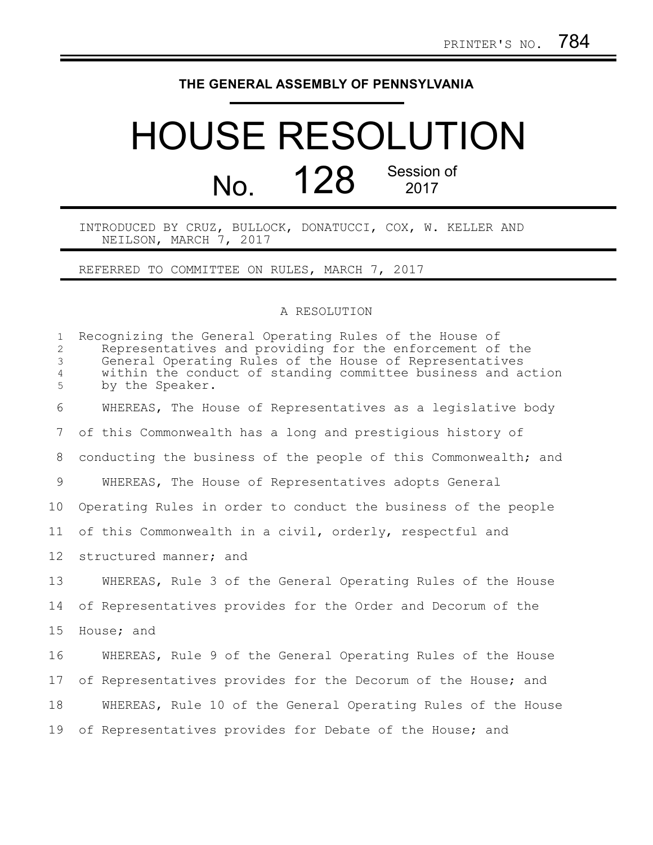## **THE GENERAL ASSEMBLY OF PENNSYLVANIA**

## HOUSE RESOLUTION No. 128 Session of 2017

INTRODUCED BY CRUZ, BULLOCK, DONATUCCI, COX, W. KELLER AND NEILSON, MARCH 7, 2017

REFERRED TO COMMITTEE ON RULES, MARCH 7, 2017

## A RESOLUTION

| $\mathbf{1}$<br>$\overline{c}$<br>$\mathfrak{Z}$<br>$\overline{4}$<br>5 | Recognizing the General Operating Rules of the House of<br>Representatives and providing for the enforcement of the<br>General Operating Rules of the House of Representatives<br>within the conduct of standing committee business and action<br>by the Speaker. |
|-------------------------------------------------------------------------|-------------------------------------------------------------------------------------------------------------------------------------------------------------------------------------------------------------------------------------------------------------------|
| 6                                                                       | WHEREAS, The House of Representatives as a legislative body                                                                                                                                                                                                       |
| $7\phantom{.0}$                                                         | of this Commonwealth has a long and prestigious history of                                                                                                                                                                                                        |
| 8                                                                       | conducting the business of the people of this Commonwealth; and                                                                                                                                                                                                   |
| 9                                                                       | WHEREAS, The House of Representatives adopts General                                                                                                                                                                                                              |
| 10                                                                      | Operating Rules in order to conduct the business of the people                                                                                                                                                                                                    |
| 11                                                                      | of this Commonwealth in a civil, orderly, respectful and                                                                                                                                                                                                          |
| $12 \,$                                                                 | structured manner; and                                                                                                                                                                                                                                            |
| 13                                                                      | WHEREAS, Rule 3 of the General Operating Rules of the House                                                                                                                                                                                                       |
| 14                                                                      | of Representatives provides for the Order and Decorum of the                                                                                                                                                                                                      |
| 15                                                                      | House; and                                                                                                                                                                                                                                                        |
| 16                                                                      | WHEREAS, Rule 9 of the General Operating Rules of the House                                                                                                                                                                                                       |
| 17                                                                      | of Representatives provides for the Decorum of the House; and                                                                                                                                                                                                     |
| 18                                                                      | WHEREAS, Rule 10 of the General Operating Rules of the House                                                                                                                                                                                                      |
| 19                                                                      | of Representatives provides for Debate of the House; and                                                                                                                                                                                                          |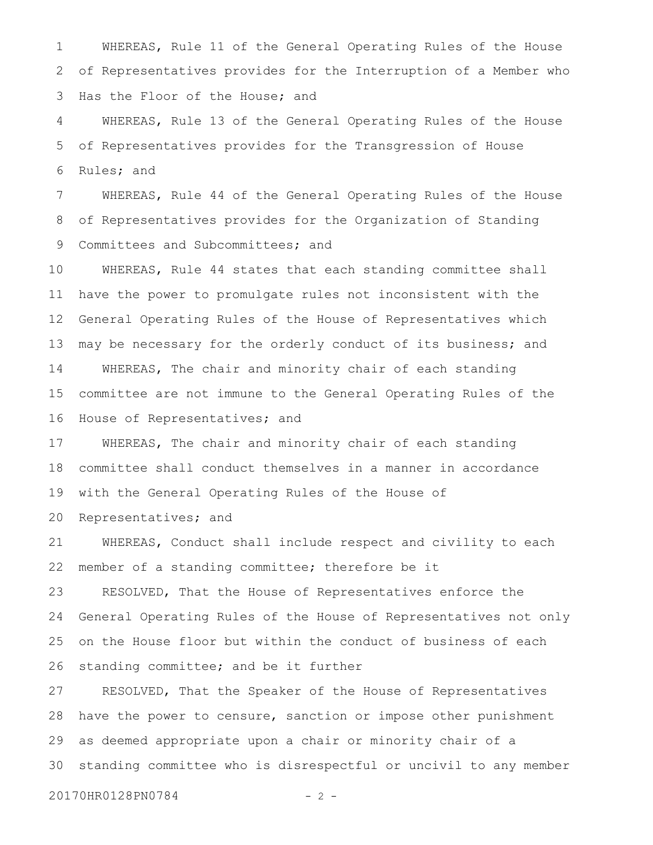WHEREAS, Rule 11 of the General Operating Rules of the House of Representatives provides for the Interruption of a Member who Has the Floor of the House; and 1 2 3

WHEREAS, Rule 13 of the General Operating Rules of the House of Representatives provides for the Transgression of House Rules; and 4 5 6

WHEREAS, Rule 44 of the General Operating Rules of the House of Representatives provides for the Organization of Standing Committees and Subcommittees; and 7 8 9

WHEREAS, Rule 44 states that each standing committee shall have the power to promulgate rules not inconsistent with the General Operating Rules of the House of Representatives which may be necessary for the orderly conduct of its business; and WHEREAS, The chair and minority chair of each standing committee are not immune to the General Operating Rules of the House of Representatives; and 10 11 12 13 14 15 16

WHEREAS, The chair and minority chair of each standing committee shall conduct themselves in a manner in accordance with the General Operating Rules of the House of 17 18 19

Representatives; and 20

WHEREAS, Conduct shall include respect and civility to each member of a standing committee; therefore be it 21 22

RESOLVED, That the House of Representatives enforce the General Operating Rules of the House of Representatives not only on the House floor but within the conduct of business of each standing committee; and be it further 23 24 25 26

RESOLVED, That the Speaker of the House of Representatives have the power to censure, sanction or impose other punishment as deemed appropriate upon a chair or minority chair of a standing committee who is disrespectful or uncivil to any member 27 28 29 30

20170HR0128PN0784 - 2 -